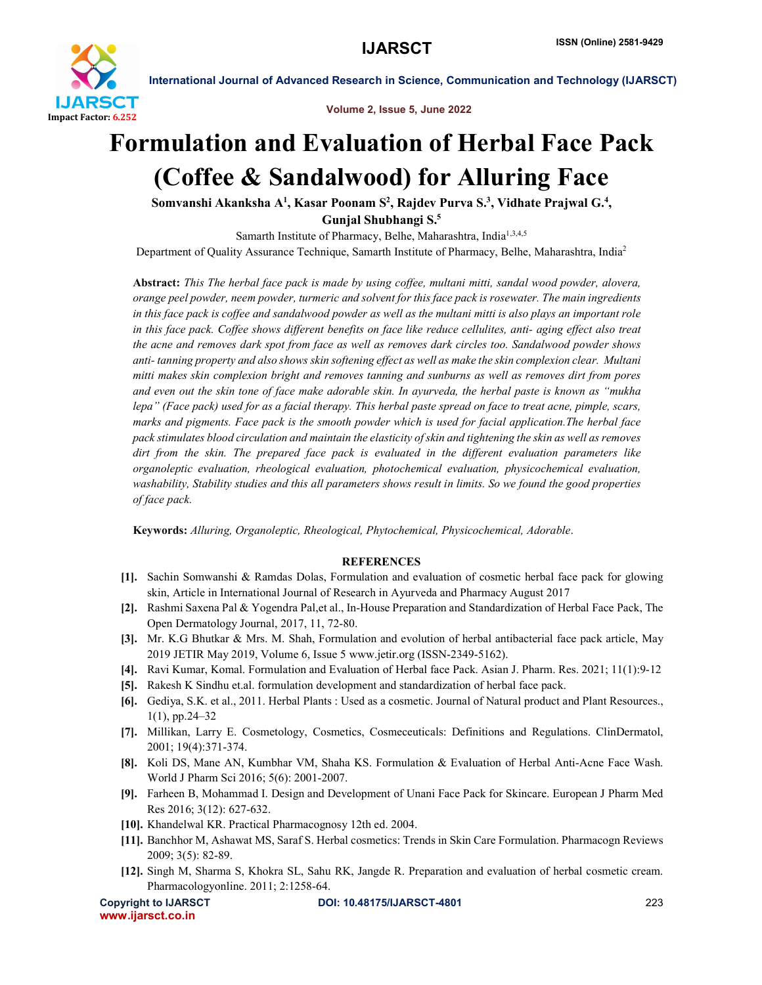

International Journal of Advanced Research in Science, Communication and Technology (IJARSCT)

Volume 2, Issue 5, June 2022

## Formulation and Evaluation of Herbal Face Pack (Coffee & Sandalwood) for Alluring Face

Somvanshi Akanksha A<sup>1</sup>, Kasar Poonam S<sup>2</sup>, Rajdev Purva S.<sup>3</sup>, Vidhate Prajwal G.<sup>4</sup>,

Gunjal Shubhangi S.5

Samarth Institute of Pharmacy, Belhe, Maharashtra, India<sup>1,3,4,5</sup>

Department of Quality Assurance Technique, Samarth Institute of Pharmacy, Belhe, Maharashtra, India2

Abstract: *This The herbal face pack is made by using coffee, multani mitti, sandal wood powder, alovera, orange peel powder, neem powder, turmeric and solvent for this face pack is rosewater. The main ingredients in this face pack is coffee and sandalwood powder as well as the multani mitti is also plays an important role in this face pack. Coffee shows different benefits on face like reduce cellulites, anti- aging effect also treat the acne and removes dark spot from face as well as removes dark circles too. Sandalwood powder shows anti- tanning property and also shows skin softening effect as well as make the skin complexion clear. Multani mitti makes skin complexion bright and removes tanning and sunburns as well as removes dirt from pores and even out the skin tone of face make adorable skin. In ayurveda, the herbal paste is known as "mukha lepa" (Face pack) used for as a facial therapy. This herbal paste spread on face to treat acne, pimple, scars, marks and pigments. Face pack is the smooth powder which is used for facial application.The herbal face pack stimulates blood circulation and maintain the elasticity of skin and tightening the skin as well as removes dirt from the skin. The prepared face pack is evaluated in the different evaluation parameters like organoleptic evaluation, rheological evaluation, photochemical evaluation, physicochemical evaluation, washability, Stability studies and this all parameters shows result in limits. So we found the good properties of face pack.*

Keywords: *Alluring, Organoleptic, Rheological, Phytochemical, Physicochemical, Adorable*.

## **REFERENCES**

- [1]. Sachin Somwanshi & Ramdas Dolas, Formulation and evaluation of cosmetic herbal face pack for glowing skin, Article in International Journal of Research in Ayurveda and Pharmacy August 2017
- [2]. Rashmi Saxena Pal & Yogendra Pal,et al., In-House Preparation and Standardization of Herbal Face Pack, The Open Dermatology Journal, 2017, 11, 72-80.
- [3]. Mr. K.G Bhutkar & Mrs. M. Shah, Formulation and evolution of herbal antibacterial face pack article, May 2019 JETIR May 2019, Volume 6, Issue 5 www.jetir.org (ISSN-2349-5162).
- [4]. Ravi Kumar, Komal. Formulation and Evaluation of Herbal face Pack. Asian J. Pharm. Res. 2021; 11(1):9-12
- [5]. Rakesh K Sindhu et.al. formulation development and standardization of herbal face pack.
- [6]. Gediya, S.K. et al., 2011. Herbal Plants : Used as a cosmetic. Journal of Natural product and Plant Resources., 1(1), pp.24–32
- [7]. Millikan, Larry E. Cosmetology, Cosmetics, Cosmeceuticals: Definitions and Regulations. ClinDermatol, 2001; 19(4):371-374.
- [8]. Koli DS, Mane AN, Kumbhar VM, Shaha KS. Formulation & Evaluation of Herbal Anti-Acne Face Wash. World J Pharm Sci 2016; 5(6): 2001-2007.
- [9]. Farheen B, Mohammad I. Design and Development of Unani Face Pack for Skincare. European J Pharm Med Res 2016; 3(12): 627-632.
- [10]. Khandelwal KR. Practical Pharmacognosy 12th ed. 2004.
- [11]. Banchhor M, Ashawat MS, Saraf S. Herbal cosmetics: Trends in Skin Care Formulation. Pharmacogn Reviews 2009; 3(5): 82-89.
- [12]. Singh M, Sharma S, Khokra SL, Sahu RK, Jangde R. Preparation and evaluation of herbal cosmetic cream. Pharmacologyonline. 2011; 2:1258-64.

www.ijarsct.co.in